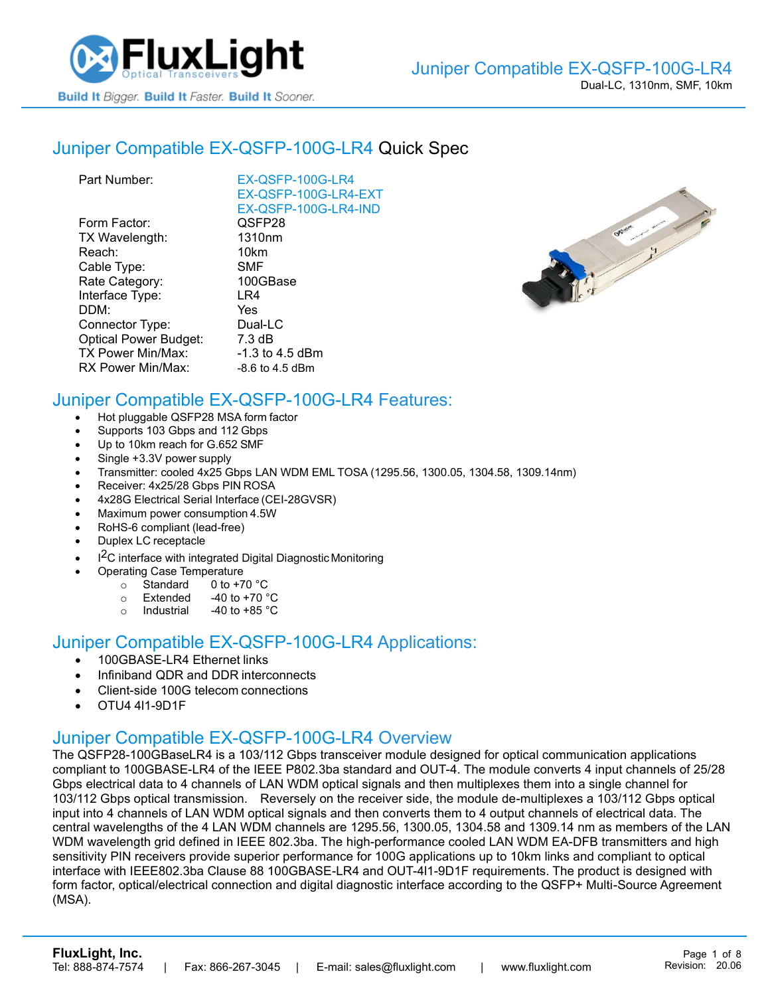

## Juniper [Compatible EX-QSFP-100G-LR4](https://www.fluxlight.com/ex-qsfp-100g-lr4/) Quick Spec

| EX-QSFP-100G-LR4     |
|----------------------|
| EX-QSFP-100G-LR4-EXT |
| EX-QSFP-100G-LR4-IND |
| QSFP28               |
| 1310 <sub>nm</sub>   |
| 10km                 |
| SMF                  |
| 100GBase             |
| LR4                  |
| Yes                  |
| Dual-LC              |
| $7.3 \text{ dB}$     |
| -1.3 to 4.5 dBm      |
| $-8.6$ to 4.5 dBm    |
|                      |



# Juniper Compatible [EX-QSFP-100G-LR4](https://www.fluxlight.com/ex-qsfp-100g-lr4/) Features:

- Hot pluggable QSFP28 MSA form factor
- Supports 103 Gbps and 112 Gbps
- Up to 10km reach for G.652 SMF
- Single +3.3V power supply
- Transmitter: cooled 4x25 Gbps LAN WDM EML TOSA (1295.56, 1300.05, 1304.58, 1309.14nm)
- Receiver: 4x25/28 Gbps PIN ROSA
- 4x28G Electrical Serial Interface (CEI-28GVSR)
- Maximum power consumption 4.5W
- RoHS-6 compliant (lead-free)
- Duplex LC receptacle
- I<sup>2</sup>C interface with integrated Digital Diagnostic Monitoring
	- Operating Case Temperature
		- o Standard 0 to +70 °C
		- $\circ$  Extended -40 to +70  $\degree$ C
		- o Industrial  $-40$  to  $+85$  °C

#### Juniper Compatible [EX-QSFP-100G-LR4](https://www.fluxlight.com/ex-qsfp-100g-lr4/) Applications:

- 100GBASE-LR4 Ethernet links
- Infiniband QDR and DDR interconnects
- Client-side 100G telecom connections
- OTU4 4l1-9D1F

### Juniper Compatible [EX-QSFP-100G-LR4](https://www.fluxlight.com/ex-qsfp-100g-lr4/) Overview

The QSFP28-100GBaseLR4 is a 103/112 Gbps transceiver module designed for optical communication applications compliant to 100GBASE-LR4 of the IEEE P802.3ba standard and OUT-4. The module converts 4 input channels of 25/28 Gbps electrical data to 4 channels of LAN WDM optical signals and then multiplexes them into a single channel for 103/112 Gbps optical transmission. Reversely on the receiver side, the module de-multiplexes a 103/112 Gbps optical input into 4 channels of LAN WDM optical signals and then converts them to 4 output channels of electrical data. The central wavelengths of the 4 LAN WDM channels are 1295.56, 1300.05, 1304.58 and 1309.14 nm as members of the LAN WDM wavelength grid defined in IEEE 802.3ba. The high-performance cooled LAN WDM EA-DFB transmitters and high sensitivity PIN receivers provide superior performance for 100G applications up to 10km links and compliant to optical interface with IEEE802.3ba Clause 88 100GBASE-LR4 and OUT-4l1-9D1F requirements. The product is designed with form factor, optical/electrical connection and digital diagnostic interface according to the QSFP+ Multi-Source Agreement (MSA).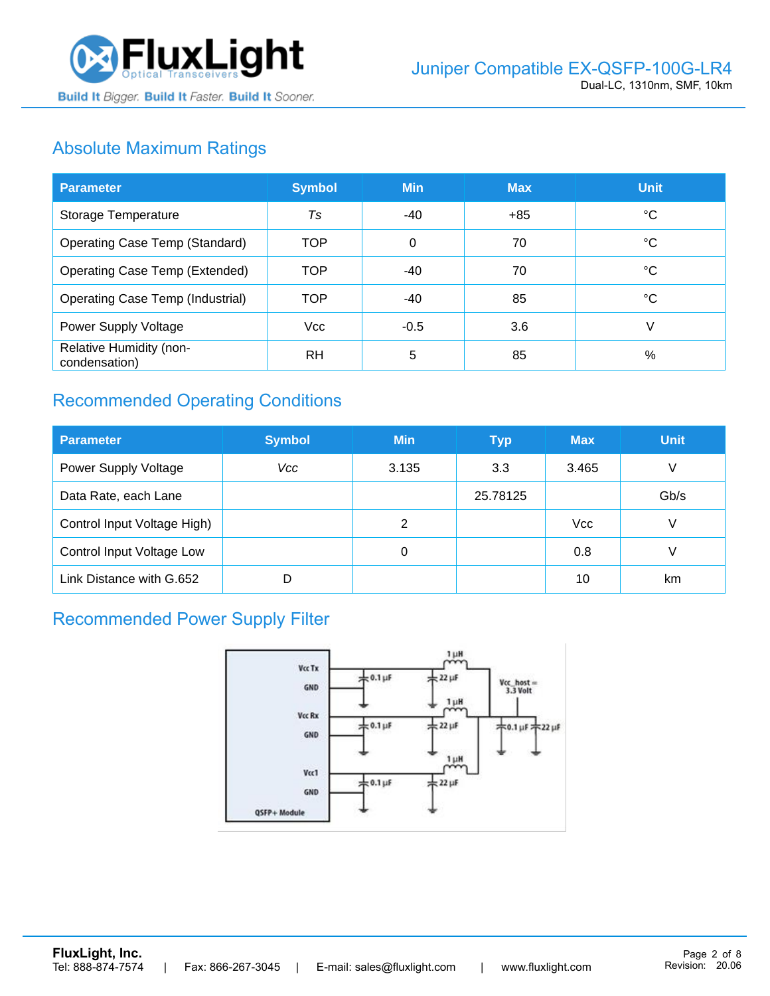

# Absolute Maximum Ratings

| <b>Parameter</b>                         | <b>Symbol</b> | <b>Min</b> | <b>Max</b> | <b>Unit</b> |
|------------------------------------------|---------------|------------|------------|-------------|
| Storage Temperature                      | Ts            | -40        | +85        | ℃           |
| Operating Case Temp (Standard)           | TOP           | 0          | 70         | °C          |
| Operating Case Temp (Extended)           | <b>TOP</b>    | $-40$      | 70         | °C          |
| Operating Case Temp (Industrial)         | <b>TOP</b>    | -40        | 85         | °C          |
| Power Supply Voltage                     | <b>Vcc</b>    | $-0.5$     | 3.6        | V           |
| Relative Humidity (non-<br>condensation) | RH            | 5          | 85         | %           |

# Recommended Operating Conditions

| <b>Parameter</b>            | <b>Symbol</b> | <b>Min</b> | <b>Typ</b> | <b>Max</b> | <b>Unit</b> |
|-----------------------------|---------------|------------|------------|------------|-------------|
| Power Supply Voltage        | Vcc           | 3.135      | 3.3        | 3.465      | V           |
| Data Rate, each Lane        |               |            | 25.78125   |            | Gb/s        |
| Control Input Voltage High) |               | 2          |            | <b>Vcc</b> | V           |
| Control Input Voltage Low   |               | 0          |            | 0.8        |             |
| Link Distance with G.652    |               |            |            | 10         | km          |

# Recommended Power Supply Filter

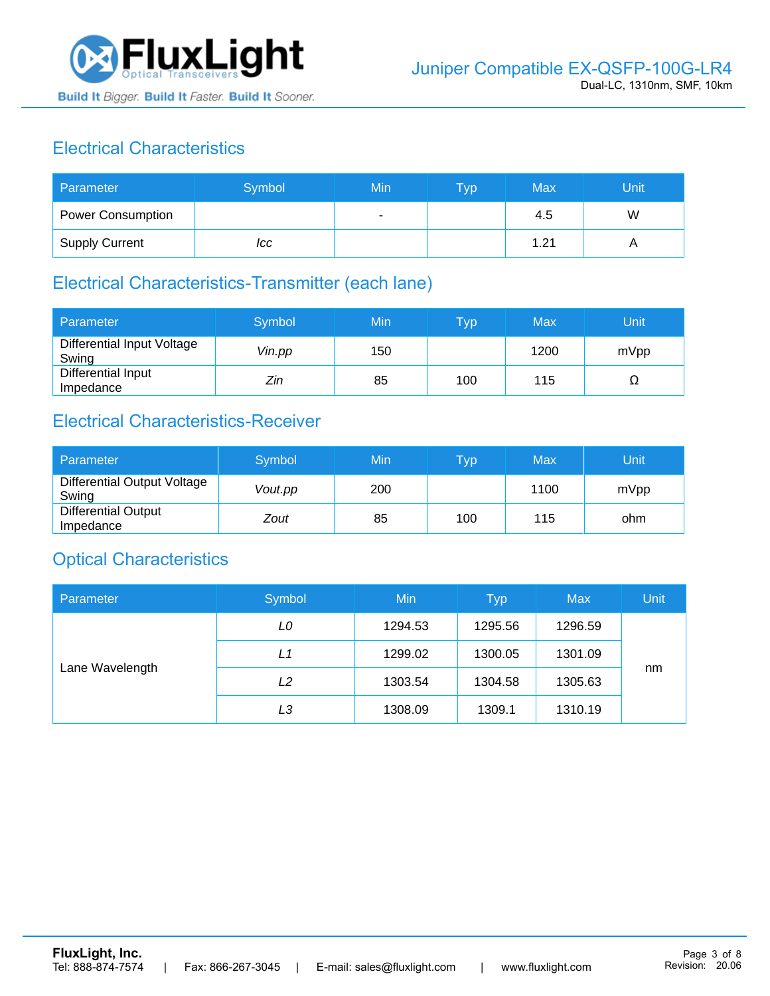

# Electrical Characteristics

| Parameter                | Symbol | Min | <b>Typ</b> | Max  | Unit |
|--------------------------|--------|-----|------------|------|------|
| <b>Power Consumption</b> |        | ۰   |            | 4.5  | W    |
| <b>Supply Current</b>    | ICC    |     |            | 1.21 |      |

### Electrical Characteristics-Transmitter (each lane)

| Parameter                           | Symbol | Min | $\overline{\mathsf{T}}\mathsf{y}\mathsf{p}$ | Max  | Unit |
|-------------------------------------|--------|-----|---------------------------------------------|------|------|
| Differential Input Voltage<br>Swing | Vin.pp | 150 |                                             | 1200 | mVpp |
| Differential Input<br>Impedance     | Zin    | 85  | 100                                         | 115  | 77   |

# Electrical Characteristics-Receiver

| Parameter                               | Symbol  | Min | Typ | Max  | Unit |
|-----------------------------------------|---------|-----|-----|------|------|
| Differential Output Voltage<br>Swing    | Vout.pp | 200 |     | 1100 | mVpp |
| <b>Differential Output</b><br>Impedance | Zout    | 85  | 100 | 115  | ohm  |

### Optical Characteristics

| Parameter       | Symbol | Min     | <b>Typ</b> | <b>Max</b> | Unit |
|-----------------|--------|---------|------------|------------|------|
| Lane Wavelength | LO     | 1294.53 | 1295.56    | 1296.59    |      |
|                 | L1     | 1299.02 | 1300.05    | 1301.09    |      |
|                 | L2     | 1303.54 | 1304.58    | 1305.63    | nm   |
|                 | LЗ     | 1308.09 | 1309.1     | 1310.19    |      |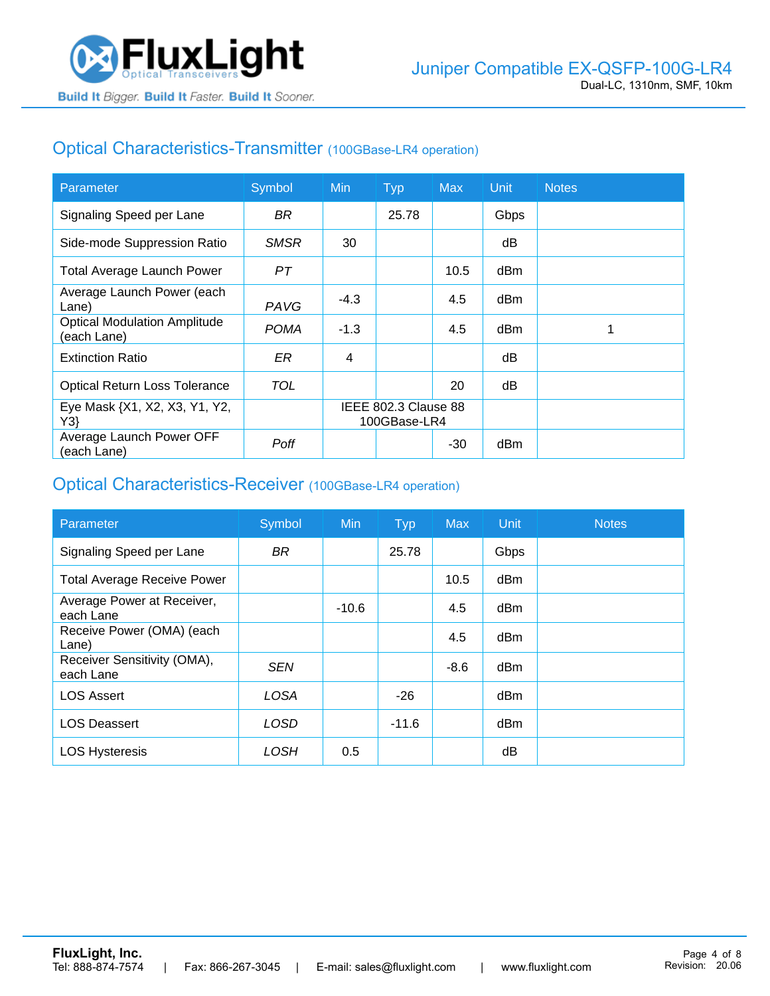

## Optical Characteristics-Transmitter (100GBase-LR4 operation)

| Parameter                                          | Symbol      | <b>Min</b>                           | <b>Typ</b> | <b>Max</b> | Unit | <b>Notes</b> |
|----------------------------------------------------|-------------|--------------------------------------|------------|------------|------|--------------|
| Signaling Speed per Lane                           | BR.         |                                      | 25.78      |            | Gbps |              |
| Side-mode Suppression Ratio                        | <b>SMSR</b> | 30                                   |            |            | dB   |              |
| <b>Total Average Launch Power</b>                  | PТ          |                                      |            | 10.5       | dBm  |              |
| Average Launch Power (each<br>Lane)                | PAVG        | $-4.3$                               |            | 4.5        | dBm  |              |
| <b>Optical Modulation Amplitude</b><br>(each Lane) | <b>POMA</b> | $-1.3$                               |            | 4.5        | dBm  |              |
| <b>Extinction Ratio</b>                            | ER          | 4                                    |            |            | dВ   |              |
| <b>Optical Return Loss Tolerance</b>               | TOL         |                                      |            | 20         | dB   |              |
| Eye Mask {X1, X2, X3, Y1, Y2,<br>Y3                |             | IEEE 802.3 Clause 88<br>100GBase-LR4 |            |            |      |              |
| Average Launch Power OFF<br>(each Lane)            | Poff        |                                      |            | $-30$      | dBm  |              |

#### Optical Characteristics-Receiver (100GBase-LR4 operation)

| Parameter                                | Symbol      | <b>Min</b> | <b>Typ</b> | <b>Max</b> | Unit            | <b>Notes</b> |
|------------------------------------------|-------------|------------|------------|------------|-----------------|--------------|
| Signaling Speed per Lane                 | <b>BR</b>   |            | 25.78      |            | Gbps            |              |
| <b>Total Average Receive Power</b>       |             |            |            | 10.5       | d <sub>Bm</sub> |              |
| Average Power at Receiver,<br>each Lane  |             | $-10.6$    |            | 4.5        | d <sub>Bm</sub> |              |
| Receive Power (OMA) (each<br>Lane)       |             |            |            | 4.5        | dBm             |              |
| Receiver Sensitivity (OMA),<br>each Lane | <b>SEN</b>  |            |            | $-8.6$     | d <sub>Bm</sub> |              |
| <b>LOS Assert</b>                        | <b>LOSA</b> |            | $-26$      |            | d <sub>Bm</sub> |              |
| <b>LOS Deassert</b>                      | LOSD        |            | $-11.6$    |            | dBm             |              |
| <b>LOS Hysteresis</b>                    | LOSH        | 0.5        |            |            | dB              |              |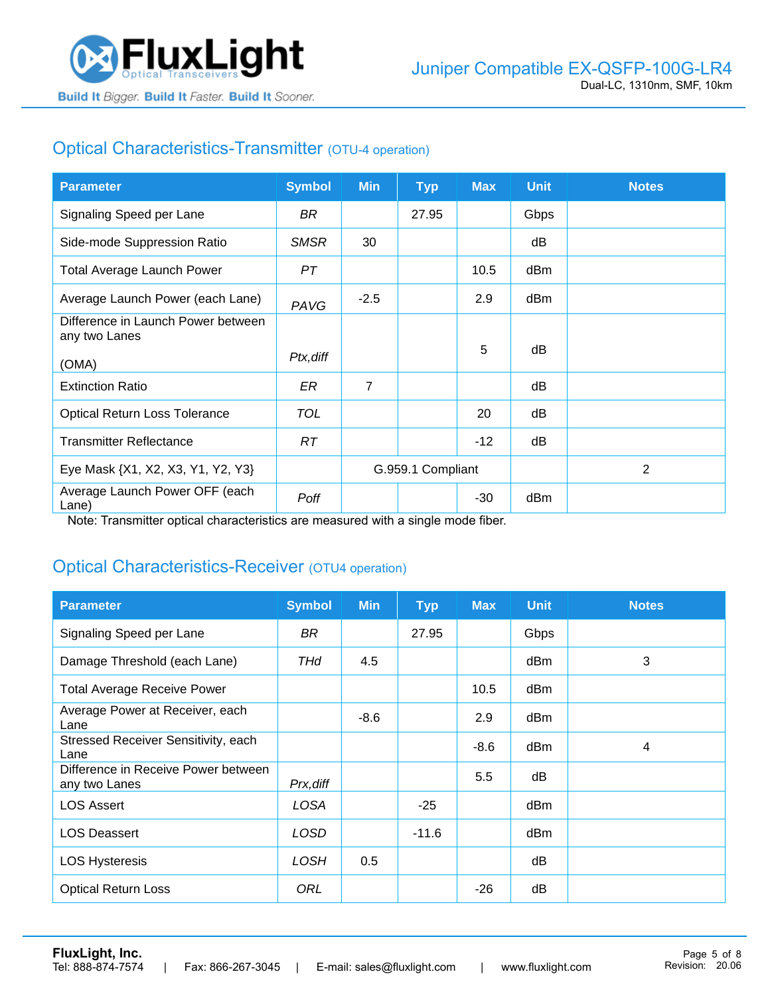

# Optical Characteristics-Transmitter (OTU-4 operation)

| <b>Parameter</b>                                    | <b>Symbol</b> | <b>Min</b>        | <b>Typ</b> | <b>Max</b> | <b>Unit</b> | <b>Notes</b> |
|-----------------------------------------------------|---------------|-------------------|------------|------------|-------------|--------------|
| Signaling Speed per Lane                            | BR            |                   | 27.95      |            | Gbps        |              |
| Side-mode Suppression Ratio                         | <b>SMSR</b>   | 30                |            |            | dB          |              |
| <b>Total Average Launch Power</b>                   | PТ            |                   |            | 10.5       | dBm         |              |
| Average Launch Power (each Lane)                    | PAVG          | $-2.5$            |            | 2.9        | dBm         |              |
| Difference in Launch Power between<br>any two Lanes |               |                   |            |            |             |              |
| (OMA)                                               | Ptx, diff     |                   |            | 5          | dB          |              |
| <b>Extinction Ratio</b>                             | ER            | $\overline{7}$    |            |            | dB          |              |
| <b>Optical Return Loss Tolerance</b>                | TOL           |                   |            | 20         | dB          |              |
| <b>Transmitter Reflectance</b>                      | RT.           |                   |            | $-12$      | dB          |              |
| Eye Mask {X1, X2, X3, Y1, Y2, Y3}                   |               | G.959.1 Compliant |            |            |             | 2            |
| Average Launch Power OFF (each<br>Lane)             | Poff          |                   |            | $-30$      | dBm         |              |

Note: Transmitter optical characteristics are measured with a single mode fiber.

### Optical Characteristics-Receiver (OTU4 operation)

| <b>Parameter</b>                                     | <b>Symbol</b> | <b>Min</b> | <b>Typ</b> | <b>Max</b> | <b>Unit</b> | <b>Notes</b> |
|------------------------------------------------------|---------------|------------|------------|------------|-------------|--------------|
| Signaling Speed per Lane                             | BR            |            | 27.95      |            | Gbps        |              |
| Damage Threshold (each Lane)                         | THd           | 4.5        |            |            | dBm         | 3            |
| <b>Total Average Receive Power</b>                   |               |            |            | 10.5       | dBm         |              |
| Average Power at Receiver, each<br>Lane              |               | $-8.6$     |            | 2.9        | dBm         |              |
| Stressed Receiver Sensitivity, each<br>Lane          |               |            |            | $-8.6$     | dBm         | 4            |
| Difference in Receive Power between<br>any two Lanes | Prx, diff     |            |            | 5.5        | dB          |              |
| <b>LOS Assert</b>                                    | LOSA          |            | $-25$      |            | dBm         |              |
| <b>LOS Deassert</b>                                  | LOSD          |            | $-11.6$    |            | dBm         |              |
| <b>LOS Hysteresis</b>                                | <b>LOSH</b>   | 0.5        |            |            | dB          |              |
| <b>Optical Return Loss</b>                           | ORL           |            |            | $-26$      | dB          |              |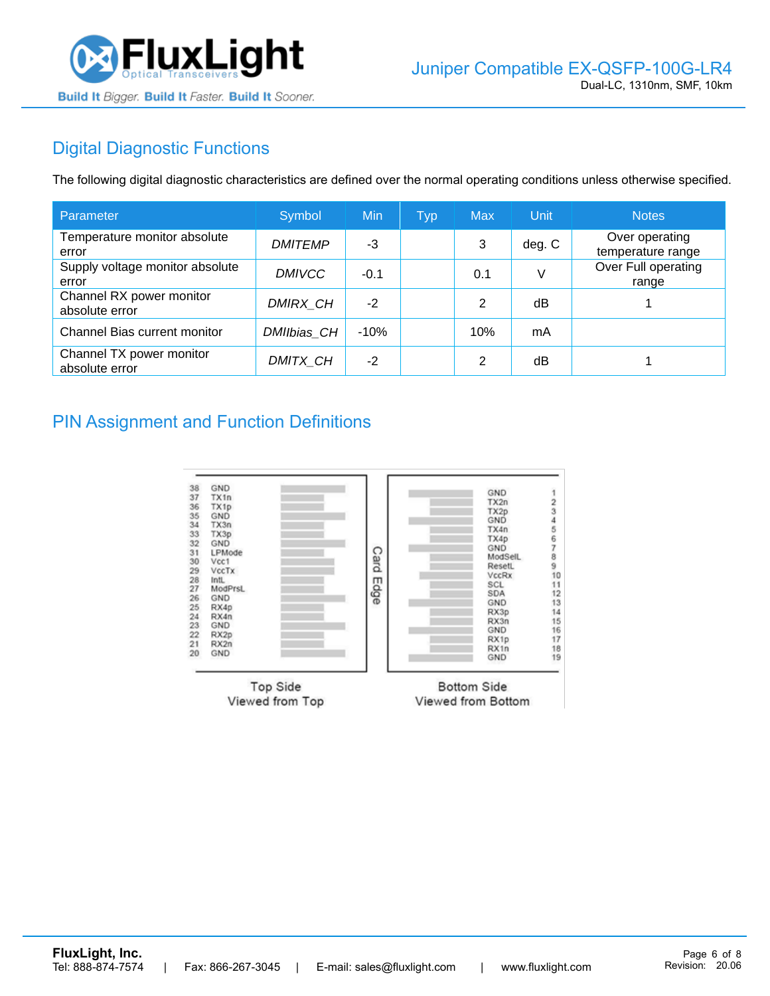

# Digital Diagnostic Functions

The following digital diagnostic characteristics are defined over the normal operating conditions unless otherwise specified.

| Parameter                                  | Symbol         | Min    | <b>Typ</b> | <b>Max</b>     | Unit   | <b>Notes</b>                        |
|--------------------------------------------|----------------|--------|------------|----------------|--------|-------------------------------------|
| Temperature monitor absolute<br>error      | <b>DMITEMP</b> | -3     |            | 3              | deg. C | Over operating<br>temperature range |
| Supply voltage monitor absolute<br>error   | <b>DMIVCC</b>  | $-0.1$ |            | 0.1            | V      | Over Full operating<br>range        |
| Channel RX power monitor<br>absolute error | DMIRX_CH       | $-2$   |            | 2              | dB     |                                     |
| Channel Bias current monitor               | DMIIbias_CH    | $-10%$ |            | 10%            | mA     |                                     |
| Channel TX power monitor<br>absolute error | DMITX_CH       | $-2$   |            | $\mathfrak{p}$ | dB     |                                     |

### PIN Assignment and Function Definitions

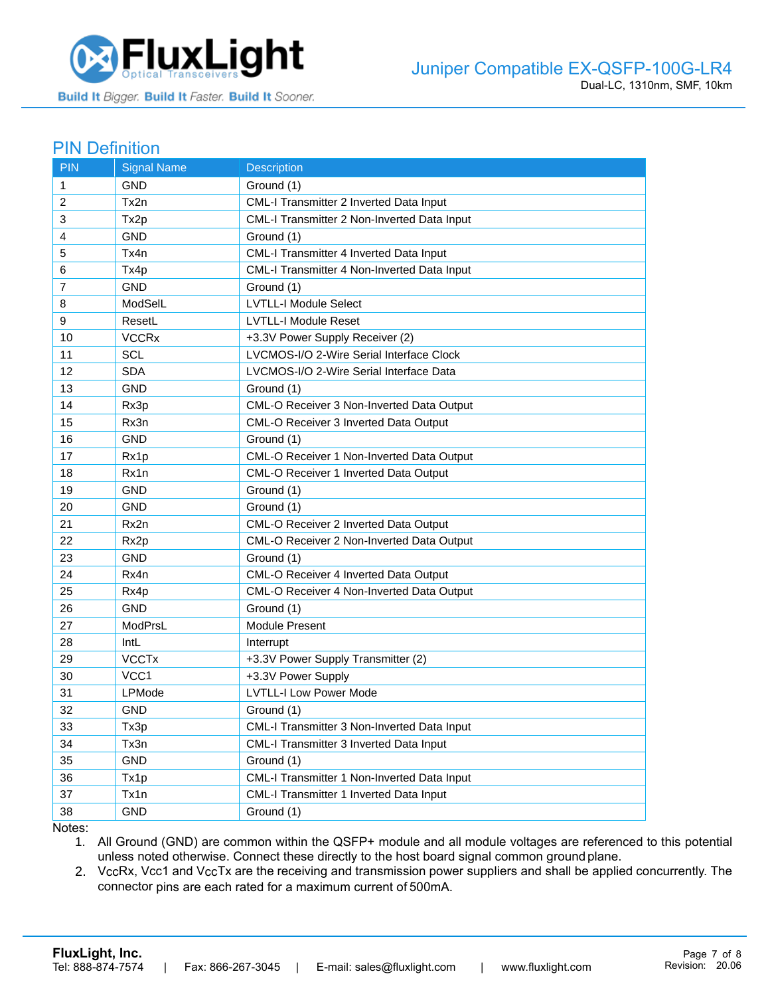

#### PIN Definition

| <b>PIN</b>     | <b>Signal Name</b>      | Description                                      |
|----------------|-------------------------|--------------------------------------------------|
| 1              | <b>GND</b>              | Ground (1)                                       |
| 2              | Tx2n                    | CML-I Transmitter 2 Inverted Data Input          |
| 3              | Tx2p                    | CML-I Transmitter 2 Non-Inverted Data Input      |
| 4              | <b>GND</b>              | Ground (1)                                       |
| 5              | Tx4n                    | CML-I Transmitter 4 Inverted Data Input          |
| 6              | Tx4p                    | CML-I Transmitter 4 Non-Inverted Data Input      |
| $\overline{7}$ | GND                     | Ground (1)                                       |
| 8              | ModSelL                 | <b>LVTLL-I Module Select</b>                     |
| 9              | ResetL                  | <b>LVTLL-I Module Reset</b>                      |
| 10             | <b>VCCR<sub>x</sub></b> | +3.3V Power Supply Receiver (2)                  |
| 11             | <b>SCL</b>              | LVCMOS-I/O 2-Wire Serial Interface Clock         |
| 12             | <b>SDA</b>              | LVCMOS-I/O 2-Wire Serial Interface Data          |
| 13             | <b>GND</b>              | Ground (1)                                       |
| 14             | Rx3p                    | CML-O Receiver 3 Non-Inverted Data Output        |
| 15             | Rx3n                    | CML-O Receiver 3 Inverted Data Output            |
| 16             | <b>GND</b>              | Ground (1)                                       |
| 17             | Rx1p                    | <b>CML-O Receiver 1 Non-Inverted Data Output</b> |
| 18             | Rx1n                    | CML-O Receiver 1 Inverted Data Output            |
| 19             | <b>GND</b>              | Ground (1)                                       |
| 20             | <b>GND</b>              | Ground (1)                                       |
| 21             | Rx2n                    | <b>CML-O Receiver 2 Inverted Data Output</b>     |
| 22             | Rx <sub>2</sub> p       | CML-O Receiver 2 Non-Inverted Data Output        |
| 23             | <b>GND</b>              | Ground (1)                                       |
| 24             | Rx4n                    | CML-O Receiver 4 Inverted Data Output            |
| 25             | Rx4p                    | CML-O Receiver 4 Non-Inverted Data Output        |
| 26             | <b>GND</b>              | Ground (1)                                       |
| 27             | ModPrsL                 | Module Present                                   |
| 28             | IntL                    | Interrupt                                        |
| 29             | <b>VCCTx</b>            | +3.3V Power Supply Transmitter (2)               |
| 30             | VCC <sub>1</sub>        | +3.3V Power Supply                               |
| 31             | LPMode                  | <b>LVTLL-I Low Power Mode</b>                    |
| 32             | <b>GND</b>              | Ground (1)                                       |
| 33             | Tx3p                    | CML-I Transmitter 3 Non-Inverted Data Input      |
| 34             | Tx3n                    | CML-I Transmitter 3 Inverted Data Input          |
| 35             | <b>GND</b>              | Ground (1)                                       |
| 36             | Tx1p                    | CML-I Transmitter 1 Non-Inverted Data Input      |
| 37             | Tx1n                    | CML-I Transmitter 1 Inverted Data Input          |
| 38             | <b>GND</b>              | Ground (1)                                       |

Notes:

1. All Ground (GND) are common within the QSFP+ module and all module voltages are referenced to this potential unless noted otherwise. Connect these directly to the host board signal common ground plane.

2. VccRx, Vcc1 and VccTx are the receiving and transmission power suppliers and shall be applied concurrently. The connector pins are each rated for a maximum current of 500mA.